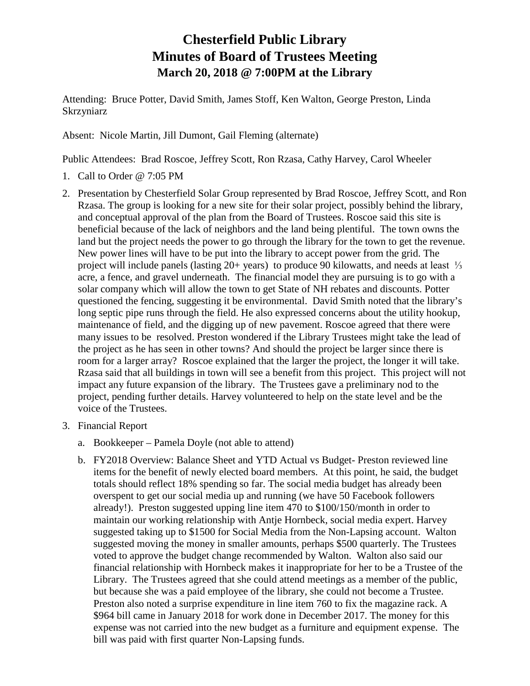## **Chesterfield Public Library Minutes of Board of Trustees Meeting March 20, 2018 @ 7:00PM at the Library**

Attending: Bruce Potter, David Smith, James Stoff, Ken Walton, George Preston, Linda Skrzyniarz

Absent: Nicole Martin, Jill Dumont, Gail Fleming (alternate)

Public Attendees: Brad Roscoe, Jeffrey Scott, Ron Rzasa, Cathy Harvey, Carol Wheeler

- 1. Call to Order @ 7:05 PM
- 2. Presentation by Chesterfield Solar Group represented by Brad Roscoe, Jeffrey Scott, and Ron Rzasa. The group is looking for a new site for their solar project, possibly behind the library, and conceptual approval of the plan from the Board of Trustees. Roscoe said this site is beneficial because of the lack of neighbors and the land being plentiful. The town owns the land but the project needs the power to go through the library for the town to get the revenue. New power lines will have to be put into the library to accept power from the grid. The project will include panels (lasting 20+ years) to produce 90 kilowatts, and needs at least ⅓ acre, a fence, and gravel underneath. The financial model they are pursuing is to go with a solar company which will allow the town to get State of NH rebates and discounts. Potter questioned the fencing, suggesting it be environmental. David Smith noted that the library's long septic pipe runs through the field. He also expressed concerns about the utility hookup, maintenance of field, and the digging up of new pavement. Roscoe agreed that there were many issues to be resolved. Preston wondered if the Library Trustees might take the lead of the project as he has seen in other towns? And should the project be larger since there is room for a larger array? Roscoe explained that the larger the project, the longer it will take. Rzasa said that all buildings in town will see a benefit from this project. This project will not impact any future expansion of the library. The Trustees gave a preliminary nod to the project, pending further details. Harvey volunteered to help on the state level and be the voice of the Trustees.
- 3. Financial Report
	- a. Bookkeeper Pamela Doyle (not able to attend)
	- b. FY2018 Overview: Balance Sheet and YTD Actual vs Budget- Preston reviewed line items for the benefit of newly elected board members. At this point, he said, the budget totals should reflect 18% spending so far. The social media budget has already been overspent to get our social media up and running (we have 50 Facebook followers already!). Preston suggested upping line item 470 to \$100/150/month in order to maintain our working relationship with Antje Hornbeck, social media expert. Harvey suggested taking up to \$1500 for Social Media from the Non-Lapsing account. Walton suggested moving the money in smaller amounts, perhaps \$500 quarterly. The Trustees voted to approve the budget change recommended by Walton. Walton also said our financial relationship with Hornbeck makes it inappropriate for her to be a Trustee of the Library. The Trustees agreed that she could attend meetings as a member of the public, but because she was a paid employee of the library, she could not become a Trustee. Preston also noted a surprise expenditure in line item 760 to fix the magazine rack. A \$964 bill came in January 2018 for work done in December 2017. The money for this expense was not carried into the new budget as a furniture and equipment expense. The bill was paid with first quarter Non-Lapsing funds.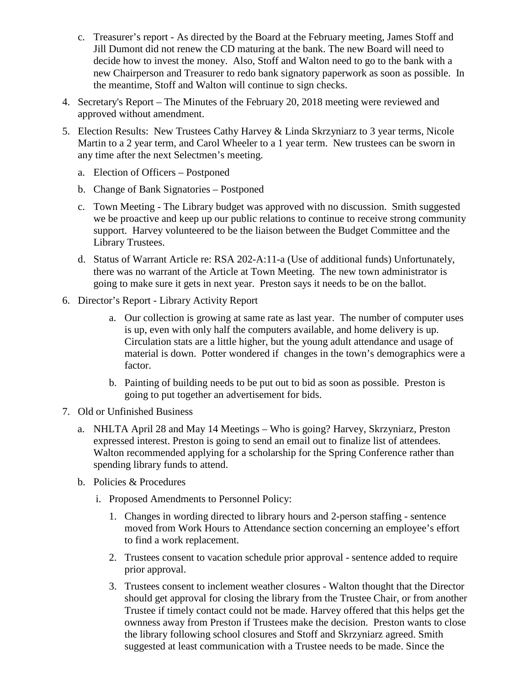- c. Treasurer's report As directed by the Board at the February meeting, James Stoff and Jill Dumont did not renew the CD maturing at the bank. The new Board will need to decide how to invest the money. Also, Stoff and Walton need to go to the bank with a new Chairperson and Treasurer to redo bank signatory paperwork as soon as possible. In the meantime, Stoff and Walton will continue to sign checks.
- 4. Secretary's Report The Minutes of the February 20, 2018 meeting were reviewed and approved without amendment.
- 5. Election Results: New Trustees Cathy Harvey & Linda Skrzyniarz to 3 year terms, Nicole Martin to a 2 year term, and Carol Wheeler to a 1 year term. New trustees can be sworn in any time after the next Selectmen's meeting.
	- a. Election of Officers Postponed
	- b. Change of Bank Signatories Postponed
	- c. Town Meeting The Library budget was approved with no discussion. Smith suggested we be proactive and keep up our public relations to continue to receive strong community support. Harvey volunteered to be the liaison between the Budget Committee and the Library Trustees.
	- d. Status of Warrant Article re: RSA 202-A:11-a (Use of additional funds) Unfortunately, there was no warrant of the Article at Town Meeting. The new town administrator is going to make sure it gets in next year. Preston says it needs to be on the ballot.
- 6. Director's Report Library Activity Report
	- a. Our collection is growing at same rate as last year. The number of computer uses is up, even with only half the computers available, and home delivery is up. Circulation stats are a little higher, but the young adult attendance and usage of material is down. Potter wondered if changes in the town's demographics were a factor.
	- b. Painting of building needs to be put out to bid as soon as possible. Preston is going to put together an advertisement for bids.
- 7. Old or Unfinished Business
	- a. NHLTA April 28 and May 14 Meetings Who is going? Harvey, Skrzyniarz, Preston expressed interest. Preston is going to send an email out to finalize list of attendees. Walton recommended applying for a scholarship for the Spring Conference rather than spending library funds to attend.
	- b. Policies & Procedures
		- i. Proposed Amendments to Personnel Policy:
			- 1. Changes in wording directed to library hours and 2-person staffing sentence moved from Work Hours to Attendance section concerning an employee's effort to find a work replacement.
			- 2. Trustees consent to vacation schedule prior approval sentence added to require prior approval.
			- 3. Trustees consent to inclement weather closures Walton thought that the Director should get approval for closing the library from the Trustee Chair, or from another Trustee if timely contact could not be made. Harvey offered that this helps get the ownness away from Preston if Trustees make the decision. Preston wants to close the library following school closures and Stoff and Skrzyniarz agreed. Smith suggested at least communication with a Trustee needs to be made. Since the